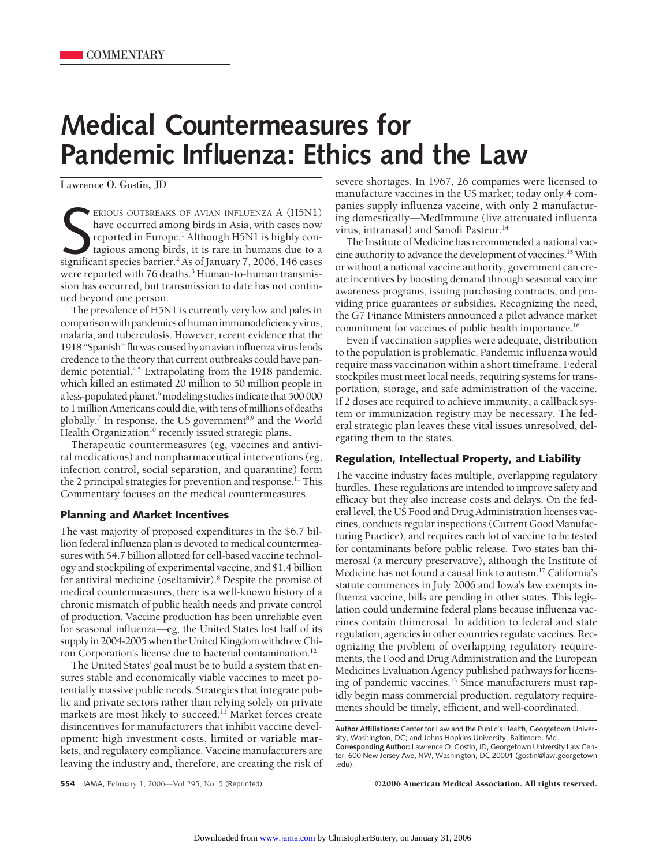# **Medical Countermeasures for Pandemic Influenza: Ethics and the Law**

Lawrence O. Gostin, JD

ERIOUS OUTBREAKS OF AVIAN INFLUENZA A (H5N1) have occurred among birds in Asia, with cases now reported in Europe.<sup>1</sup> Although H5N1 is highly contagious among birds, it is rare in humans due to a significant species barrie ERIOUS OUTBREAKS OF AVIAN INFLUENZA A (H5N1) have occurred among birds in Asia, with cases now reported in Europe.<sup>1</sup> Although H5N1 is highly contagious among birds, it is rare in humans due to a were reported with 76 deaths.<sup>3</sup> Human-to-human transmission has occurred, but transmission to date has not continued beyond one person.

The prevalence of H5N1 is currently very low and pales in comparison with pandemics of human immunodeficiency virus, malaria, and tuberculosis. However, recent evidence that the 1918 "Spanish" flu was caused by an avian influenza virus lends credence to the theory that current outbreaks could have pandemic potential.4,5 Extrapolating from the 1918 pandemic, which killed an estimated 20 million to 50 million people in a less-populated planet,<sup>6</sup> modeling studies indicate that 500 000 to 1 million Americans could die, with tens of millions of deaths globally.<sup>7</sup> In response, the US government<sup>8,9</sup> and the World Health Organization<sup>10</sup> recently issued strategic plans.

Therapeutic countermeasures (eg, vaccines and antiviral medications) and nonpharmaceutical interventions (eg, infection control, social separation, and quarantine) form the 2 principal strategies for prevention and response.<sup>11</sup> This Commentary focuses on the medical countermeasures.

#### **Planning and Market Incentives**

The vast majority of proposed expenditures in the \$6.7 billion federal influenza plan is devoted to medical countermeasures with \$4.7 billion allotted for cell-based vaccine technology and stockpiling of experimental vaccine, and \$1.4 billion for antiviral medicine (oseltamivir).8 Despite the promise of medical countermeasures, there is a well-known history of a chronic mismatch of public health needs and private control of production. Vaccine production has been unreliable even for seasonal influenza—eg, the United States lost half of its supply in 2004-2005 when the United Kingdom withdrew Chiron Corporation's license due to bacterial contamination.<sup>12</sup>

The United States' goal must be to build a system that ensures stable and economically viable vaccines to meet potentially massive public needs. Strategies that integrate public and private sectors rather than relying solely on private markets are most likely to succeed.<sup>13</sup> Market forces create disincentives for manufacturers that inhibit vaccine development: high investment costs, limited or variable markets, and regulatory compliance. Vaccine manufacturers are leaving the industry and, therefore, are creating the risk of severe shortages. In 1967, 26 companies were licensed to manufacture vaccines in the US market; today only 4 companies supply influenza vaccine, with only 2 manufacturing domestically—MedImmune (live attenuated influenza virus, intranasal) and Sanofi Pasteur.14

The Institute of Medicine has recommended a national vaccine authority to advance the development of vaccines.15 With or without a national vaccine authority, government can create incentives by boosting demand through seasonal vaccine awareness programs, issuing purchasing contracts, and providing price guarantees or subsidies. Recognizing the need, the G7 Finance Ministers announced a pilot advance market commitment for vaccines of public health importance.<sup>16</sup>

Even if vaccination supplies were adequate, distribution to the population is problematic. Pandemic influenza would require mass vaccination within a short timeframe. Federal stockpiles must meet local needs, requiring systems for transportation, storage, and safe administration of the vaccine. If 2 doses are required to achieve immunity, a callback system or immunization registry may be necessary. The federal strategic plan leaves these vital issues unresolved, delegating them to the states.

## **Regulation, Intellectual Property, and Liability**

The vaccine industry faces multiple, overlapping regulatory hurdles. These regulations are intended to improve safety and efficacy but they also increase costs and delays. On the federal level, the US Food and Drug Administration licenses vaccines, conducts regular inspections (Current Good Manufacturing Practice), and requires each lot of vaccine to be tested for contaminants before public release. Two states ban thimerosal (a mercury preservative), although the Institute of Medicine has not found a causal link to autism.<sup>17</sup> California's statute commences in July 2006 and Iowa's law exempts influenza vaccine; bills are pending in other states. This legislation could undermine federal plans because influenza vaccines contain thimerosal. In addition to federal and state regulation, agencies in other countries regulate vaccines. Recognizing the problem of overlapping regulatory requirements, the Food and Drug Administration and the European Medicines Evaluation Agency published pathways for licensing of pandemic vaccines.<sup>13</sup> Since manufacturers must rapidly begin mass commercial production, regulatory requirements should be timely, efficient, and well-coordinated.

**554** JAMA, February 1, 2006—Vol 295, No. 5 (Reprinted) ©2006 American Medical Association. All rights reserved.

**Author Affiliations:** Center for Law and the Public's Health, Georgetown University, Washington, DC; and Johns Hopkins University, Baltimore, Md. **Corresponding Author:** Lawrence O. Gostin, JD, Georgetown University Law Center, 600 New Jersey Ave, NW, Washington, DC 20001 (gostin@law.georgetown .edu).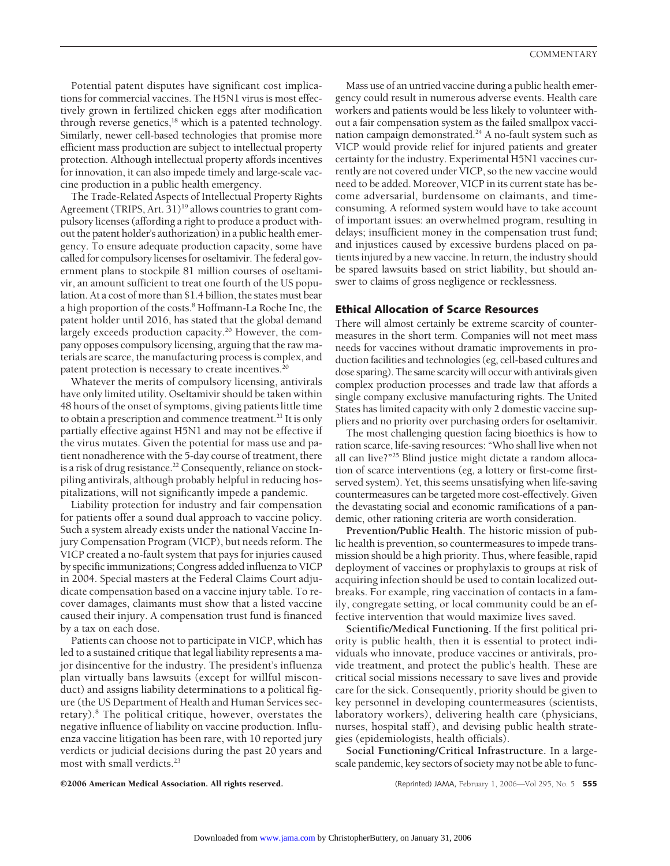Potential patent disputes have significant cost implications for commercial vaccines. The H5N1 virus is most effectively grown in fertilized chicken eggs after modification through reverse genetics,<sup>18</sup> which is a patented technology. Similarly, newer cell-based technologies that promise more efficient mass production are subject to intellectual property protection. Although intellectual property affords incentives for innovation, it can also impede timely and large-scale vaccine production in a public health emergency.

The Trade-Related Aspects of Intellectual Property Rights Agreement (TRIPS, Art. 31)<sup>19</sup> allows countries to grant compulsory licenses (affording a right to produce a product without the patent holder's authorization) in a public health emergency. To ensure adequate production capacity, some have called for compulsory licenses for oseltamivir. The federal government plans to stockpile 81 million courses of oseltamivir, an amount sufficient to treat one fourth of the US population. At a cost of more than \$1.4 billion, the states must bear a high proportion of the costs.<sup>8</sup> Hoffmann-La Roche Inc, the patent holder until 2016, has stated that the global demand largely exceeds production capacity.<sup>20</sup> However, the company opposes compulsory licensing, arguing that the raw materials are scarce, the manufacturing process is complex, and patent protection is necessary to create incentives.<sup>20</sup>

Whatever the merits of compulsory licensing, antivirals have only limited utility. Oseltamivir should be taken within 48 hours of the onset of symptoms, giving patients little time to obtain a prescription and commence treatment.<sup>21</sup> It is only partially effective against H5N1 and may not be effective if the virus mutates. Given the potential for mass use and patient nonadherence with the 5-day course of treatment, there is a risk of drug resistance.<sup>22</sup> Consequently, reliance on stockpiling antivirals, although probably helpful in reducing hospitalizations, will not significantly impede a pandemic.

Liability protection for industry and fair compensation for patients offer a sound dual approach to vaccine policy. Such a system already exists under the national Vaccine Injury Compensation Program (VICP), but needs reform. The VICP created a no-fault system that pays for injuries caused by specific immunizations; Congress added influenza to VICP in 2004. Special masters at the Federal Claims Court adjudicate compensation based on a vaccine injury table. To recover damages, claimants must show that a listed vaccine caused their injury. A compensation trust fund is financed by a tax on each dose.

Patients can choose not to participate in VICP, which has led to a sustained critique that legal liability represents a major disincentive for the industry. The president's influenza plan virtually bans lawsuits (except for willful misconduct) and assigns liability determinations to a political figure (the US Department of Health and Human Services secretary). $8$  The political critique, however, overstates the negative influence of liability on vaccine production. Influenza vaccine litigation has been rare, with 10 reported jury verdicts or judicial decisions during the past 20 years and most with small verdicts.23

Mass use of an untried vaccine during a public health emergency could result in numerous adverse events. Health care workers and patients would be less likely to volunteer without a fair compensation system as the failed smallpox vaccination campaign demonstrated.<sup>24</sup> A no-fault system such as VICP would provide relief for injured patients and greater certainty for the industry. Experimental H5N1 vaccines currently are not covered under VICP, so the new vaccine would need to be added. Moreover, VICP in its current state has become adversarial, burdensome on claimants, and timeconsuming. A reformed system would have to take account of important issues: an overwhelmed program, resulting in delays; insufficient money in the compensation trust fund; and injustices caused by excessive burdens placed on patients injured by a new vaccine. In return, the industry should be spared lawsuits based on strict liability, but should answer to claims of gross negligence or recklessness.

### **Ethical Allocation of Scarce Resources**

There will almost certainly be extreme scarcity of countermeasures in the short term. Companies will not meet mass needs for vaccines without dramatic improvements in production facilities and technologies (eg, cell-based cultures and dose sparing). The same scarcity will occur with antivirals given complex production processes and trade law that affords a single company exclusive manufacturing rights. The United States has limited capacity with only 2 domestic vaccine suppliers and no priority over purchasing orders for oseltamivir.

The most challenging question facing bioethics is how to ration scarce, life-saving resources: "Who shall live when not all can live?"25 Blind justice might dictate a random allocation of scarce interventions (eg, a lottery or first-come firstserved system). Yet, this seems unsatisfying when life-saving countermeasures can be targeted more cost-effectively. Given the devastating social and economic ramifications of a pandemic, other rationing criteria are worth consideration.

**Prevention/Public Health.** The historic mission of public health is prevention, so countermeasures to impede transmission should be a high priority. Thus, where feasible, rapid deployment of vaccines or prophylaxis to groups at risk of acquiring infection should be used to contain localized outbreaks. For example, ring vaccination of contacts in a family, congregate setting, or local community could be an effective intervention that would maximize lives saved.

**Scientific/Medical Functioning.** If the first political priority is public health, then it is essential to protect individuals who innovate, produce vaccines or antivirals, provide treatment, and protect the public's health. These are critical social missions necessary to save lives and provide care for the sick. Consequently, priority should be given to key personnel in developing countermeasures (scientists, laboratory workers), delivering health care (physicians, nurses, hospital staff), and devising public health strategies (epidemiologists, health officials).

**Social Functioning/Critical Infrastructure.** In a largescale pandemic, key sectors of society may not be able to func-

©2006 American Medical Association. All rights reserved. (Reprinted) JAMA, February 1, 2006—Vol 295, No. 5 **555**